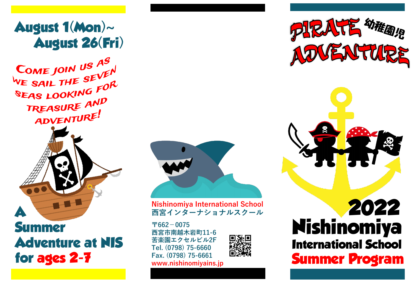## **August 1(Mon)~ August 26(Fri)**

COME JOIN US AS COME JOIN US THEN<br>WE SAIL THE SEVEN WE SAIL THE SLOOK<br>SEAS LOOKING FOR TREASURE AND ADVENTURE!



**Summer Adventure at NIS for ages 2-7**



**Nishinomiya International School 西宮インターナショナルスクール**

**〒662-0075 西宮市南越木岩町11-6 苦楽園エクセルビル2F Tel. (0798) 75-6660 Fax. (0798) 75-6661 www.nishinomiyains.jp**



**PIRATE MARATE** ADVENTURE



## **2022 Nishinomiya International School Summer Program**